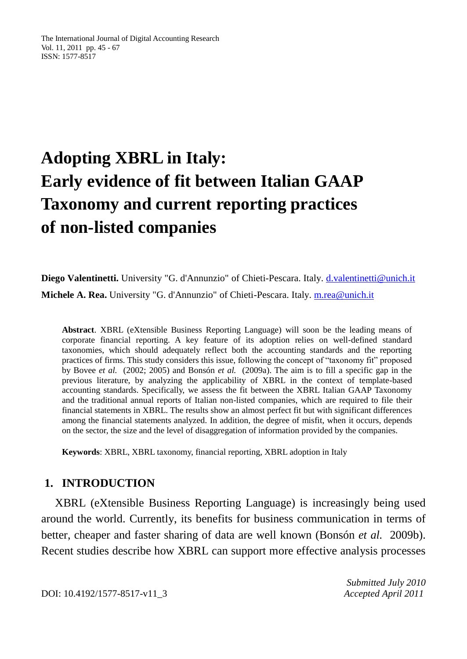The International Journal of Digital Accounting Research Vol. 11, 2011 pp. 45 - 67 ISSN: 1577-8517

# **Adopting XBRL in Italy: Early evidence of fit between Italian GAAP Taxonomy and current reporting practices of non-listed companies**

**Diego Valentinetti.** University "G. d'Annunzio" of Chieti-Pescara. Italy. [d.valentinetti@unich.it](mailto:d.valentinetti@unich.it) **Michele A. Rea.** University "G. d'Annunzio" of Chieti-Pescara. Italy. [m.rea@unich.it](mailto:m.rea@unich.it)

**Abstract**. XBRL (eXtensible Business Reporting Language) will soon be the leading means of corporate financial reporting. A key feature of its adoption relies on well-defined standard taxonomies, which should adequately reflect both the accounting standards and the reporting practices of firms. This study considers this issue, following the concept of "taxonomy fit" proposed by Bovee *et al.* (2002; 2005) and Bonsón *et al.* (2009a). The aim is to fill a specific gap in the previous literature, by analyzing the applicability of XBRL in the context of template-based accounting standards. Specifically, we assess the fit between the XBRL Italian GAAP Taxonomy and the traditional annual reports of Italian non-listed companies, which are required to file their financial statements in XBRL. The results show an almost perfect fit but with significant differences among the financial statements analyzed. In addition, the degree of misfit, when it occurs, depends on the sector, the size and the level of disaggregation of information provided by the companies.

**Keywords**: XBRL, XBRL taxonomy, financial reporting, XBRL adoption in Italy

#### **1. INTRODUCTION**

XBRL (eXtensible Business Reporting Language) is increasingly being used around the world. Currently, its benefits for business communication in terms of better, cheaper and faster sharing of data are well known (Bonsón *et al.* 2009b). Recent studies describe how XBRL can support more effective analysis processes

*Submitted July 2010*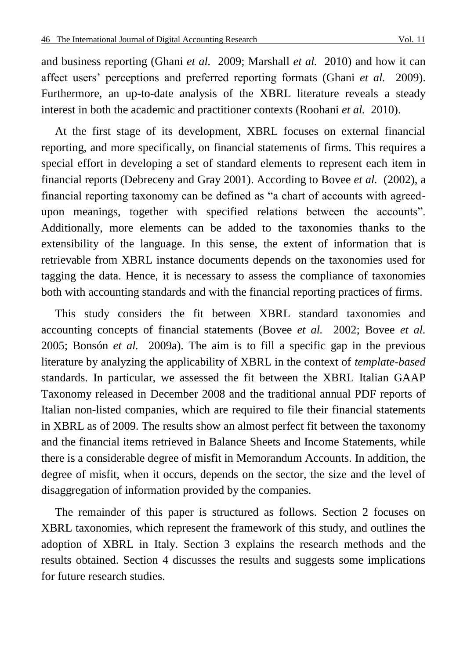and business reporting (Ghani *et al.* 2009; Marshall *et al.* 2010) and how it can affect users' perceptions and preferred reporting formats (Ghani *et al.* 2009). Furthermore, an up-to-date analysis of the XBRL literature reveals a steady interest in both the academic and practitioner contexts (Roohani *et al.* 2010).

At the first stage of its development, XBRL focuses on external financial reporting, and more specifically, on financial statements of firms. This requires a special effort in developing a set of standard elements to represent each item in financial reports (Debreceny and Gray 2001). According to Bovee *et al.* (2002), a financial reporting taxonomy can be defined as "a chart of accounts with agreedupon meanings, together with specified relations between the accounts". Additionally, more elements can be added to the taxonomies thanks to the extensibility of the language. In this sense, the extent of information that is retrievable from XBRL instance documents depends on the taxonomies used for tagging the data. Hence, it is necessary to assess the compliance of taxonomies both with accounting standards and with the financial reporting practices of firms.

This study considers the fit between XBRL standard taxonomies and accounting concepts of financial statements (Bovee *et al.* 2002; Bovee *et al.*  2005; Bonsón *et al.* 2009a). The aim is to fill a specific gap in the previous literature by analyzing the applicability of XBRL in the context of *template-based* standards. In particular, we assessed the fit between the XBRL Italian GAAP Taxonomy released in December 2008 and the traditional annual PDF reports of Italian non-listed companies, which are required to file their financial statements in XBRL as of 2009. The results show an almost perfect fit between the taxonomy and the financial items retrieved in Balance Sheets and Income Statements, while there is a considerable degree of misfit in Memorandum Accounts. In addition, the degree of misfit, when it occurs, depends on the sector, the size and the level of disaggregation of information provided by the companies.

The remainder of this paper is structured as follows. Section 2 focuses on XBRL taxonomies, which represent the framework of this study, and outlines the adoption of XBRL in Italy. Section 3 explains the research methods and the results obtained. Section 4 discusses the results and suggests some implications for future research studies.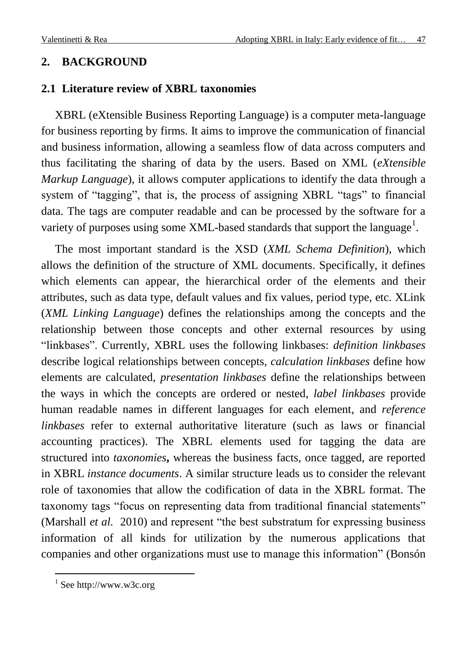## **2. BACKGROUND**

### **2.1 Literature review of XBRL taxonomies**

XBRL (eXtensible Business Reporting Language) is a computer meta-language for business reporting by firms. It aims to improve the communication of financial and business information, allowing a seamless flow of data across computers and thus facilitating the sharing of data by the users. Based on XML (*eXtensible Markup Language*), it allows computer applications to identify the data through a system of "tagging", that is, the process of assigning XBRL "tags" to financial data. The tags are computer readable and can be processed by the software for a variety of purposes using some XML-based standards that support the language<sup>1</sup>.

The most important standard is the XSD (*XML Schema Definition*), which allows the definition of the structure of XML documents. Specifically, it defines which elements can appear, the hierarchical order of the elements and their attributes, such as data type, default values and fix values, period type, etc. XLink (*XML Linking Language*) defines the relationships among the concepts and the relationship between those concepts and other external resources by using ―linkbases‖. Currently, XBRL uses the following linkbases: *definition linkbases* describe logical relationships between concepts, *calculation linkbases* define how elements are calculated, *presentation linkbases* define the relationships between the ways in which the concepts are ordered or nested, *label linkbases* provide human readable names in different languages for each element, and *reference linkbases* refer to external authoritative literature (such as laws or financial accounting practices). The XBRL elements used for tagging the data are structured into *taxonomies***,** whereas the business facts, once tagged, are reported in XBRL *instance documents*. A similar structure leads us to consider the relevant role of taxonomies that allow the codification of data in the XBRL format. The taxonomy tags "focus on representing data from traditional financial statements" (Marshall *et al.* 2010) and represent "the best substratum for expressing business information of all kinds for utilization by the numerous applications that companies and other organizations must use to manage this information‖ (Bonsón

<sup>&</sup>lt;sup>1</sup> See http://www.w3c.org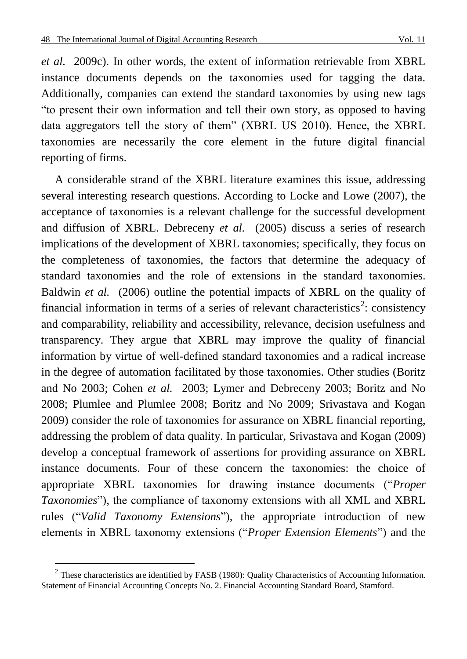*et al.* 2009c). In other words, the extent of information retrievable from XBRL instance documents depends on the taxonomies used for tagging the data. Additionally, companies can extend the standard taxonomies by using new tags ―to present their own information and tell their own story, as opposed to having data aggregators tell the story of them<sup>"</sup> (XBRL US 2010). Hence, the XBRL taxonomies are necessarily the core element in the future digital financial reporting of firms.

A considerable strand of the XBRL literature examines this issue, addressing several interesting research questions. According to Locke and Lowe (2007), the acceptance of taxonomies is a relevant challenge for the successful development and diffusion of XBRL. Debreceny *et al.* (2005) discuss a series of research implications of the development of XBRL taxonomies; specifically, they focus on the completeness of taxonomies, the factors that determine the adequacy of standard taxonomies and the role of extensions in the standard taxonomies. Baldwin *et al.* (2006) outline the potential impacts of XBRL on the quality of financial information in terms of a series of relevant characteristics<sup>2</sup>: consistency and comparability, reliability and accessibility, relevance, decision usefulness and transparency. They argue that XBRL may improve the quality of financial information by virtue of well-defined standard taxonomies and a radical increase in the degree of automation facilitated by those taxonomies. Other studies (Boritz and No 2003; Cohen *et al.* 2003; Lymer and Debreceny 2003; Boritz and No 2008; Plumlee and Plumlee 2008; Boritz and No 2009; Srivastava and Kogan 2009) consider the role of taxonomies for assurance on XBRL financial reporting, addressing the problem of data quality. In particular, Srivastava and Kogan (2009) develop a conceptual framework of assertions for providing assurance on XBRL instance documents. Four of these concern the taxonomies: the choice of appropriate XBRL taxonomies for drawing instance documents ("Proper *Taxonomies*"), the compliance of taxonomy extensions with all XML and XBRL rules ("Valid Taxonomy Extensions"), the appropriate introduction of new elements in XBRL taxonomy extensions ("*Proper Extension Elements*") and the

<sup>&</sup>lt;sup>2</sup> These characteristics are identified by FASB (1980): Quality Characteristics of Accounting Information. Statement of Financial Accounting Concepts No. 2. Financial Accounting Standard Board, Stamford.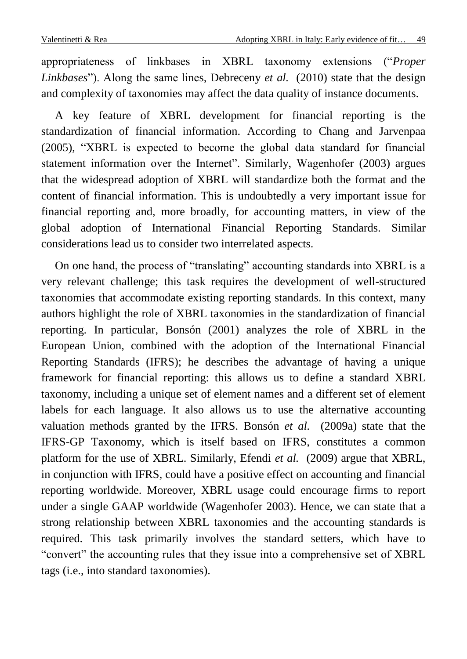appropriateness of linkbases in XBRL taxonomy extensions ("Proper *Linkbases*"). Along the same lines, Debreceny *et al.* (2010) state that the design and complexity of taxonomies may affect the data quality of instance documents.

A key feature of XBRL development for financial reporting is the standardization of financial information. According to Chang and Jarvenpaa (2005), "XBRL is expected to become the global data standard for financial statement information over the Internet". Similarly, Wagenhofer (2003) argues that the widespread adoption of XBRL will standardize both the format and the content of financial information. This is undoubtedly a very important issue for financial reporting and, more broadly, for accounting matters, in view of the global adoption of International Financial Reporting Standards. Similar considerations lead us to consider two interrelated aspects.

On one hand, the process of "translating" accounting standards into XBRL is a very relevant challenge; this task requires the development of well-structured taxonomies that accommodate existing reporting standards. In this context, many authors highlight the role of XBRL taxonomies in the standardization of financial reporting. In particular, Bonsón (2001) analyzes the role of XBRL in the European Union, combined with the adoption of the International Financial Reporting Standards (IFRS); he describes the advantage of having a unique framework for financial reporting: this allows us to define a standard XBRL taxonomy, including a unique set of element names and a different set of element labels for each language. It also allows us to use the alternative accounting valuation methods granted by the IFRS. Bonsón *et al.* (2009a) state that the IFRS-GP Taxonomy, which is itself based on IFRS, constitutes a common platform for the use of XBRL. Similarly, Efendi *et al.* (2009) argue that XBRL, in conjunction with IFRS, could have a positive effect on accounting and financial reporting worldwide. Moreover, XBRL usage could encourage firms to report under a single GAAP worldwide (Wagenhofer 2003). Hence, we can state that a strong relationship between XBRL taxonomies and the accounting standards is required. This task primarily involves the standard setters, which have to ―convert‖ the accounting rules that they issue into a comprehensive set of XBRL tags (i.e., into standard taxonomies).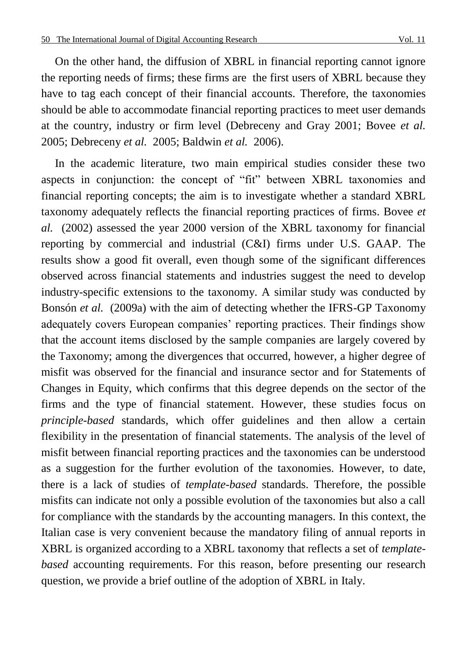On the other hand, the diffusion of XBRL in financial reporting cannot ignore the reporting needs of firms; these firms are the first users of XBRL because they have to tag each concept of their financial accounts. Therefore, the taxonomies should be able to accommodate financial reporting practices to meet user demands at the country, industry or firm level (Debreceny and Gray 2001; Bovee *et al.*  2005; Debreceny *et al.* 2005; Baldwin *et al.* 2006).

In the academic literature, two main empirical studies consider these two aspects in conjunction: the concept of "fit" between XBRL taxonomies and financial reporting concepts; the aim is to investigate whether a standard XBRL taxonomy adequately reflects the financial reporting practices of firms. Bovee *et al.* (2002) assessed the year 2000 version of the XBRL taxonomy for financial reporting by commercial and industrial (C&I) firms under U.S. GAAP. The results show a good fit overall, even though some of the significant differences observed across financial statements and industries suggest the need to develop industry-specific extensions to the taxonomy. A similar study was conducted by Bonsón *et al.* (2009a) with the aim of detecting whether the IFRS-GP Taxonomy adequately covers European companies' reporting practices. Their findings show that the account items disclosed by the sample companies are largely covered by the Taxonomy; among the divergences that occurred, however, a higher degree of misfit was observed for the financial and insurance sector and for Statements of Changes in Equity, which confirms that this degree depends on the sector of the firms and the type of financial statement. However, these studies focus on *principle-based* standards, which offer guidelines and then allow a certain flexibility in the presentation of financial statements. The analysis of the level of misfit between financial reporting practices and the taxonomies can be understood as a suggestion for the further evolution of the taxonomies. However, to date, there is a lack of studies of *template-based* standards. Therefore, the possible misfits can indicate not only a possible evolution of the taxonomies but also a call for compliance with the standards by the accounting managers. In this context, the Italian case is very convenient because the mandatory filing of annual reports in XBRL is organized according to a XBRL taxonomy that reflects a set of *templatebased* accounting requirements. For this reason, before presenting our research question, we provide a brief outline of the adoption of XBRL in Italy.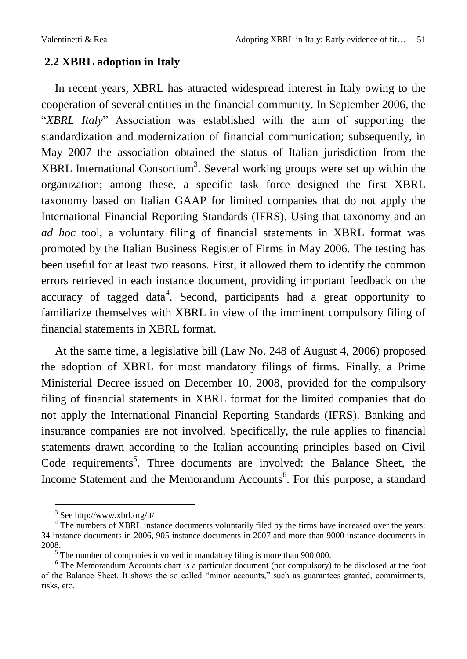# **2.2 XBRL adoption in Italy**

In recent years, XBRL has attracted widespread interest in Italy owing to the cooperation of several entities in the financial community. In September 2006, the "XBRL Italy" Association was established with the aim of supporting the standardization and modernization of financial communication; subsequently, in May 2007 the association obtained the status of Italian jurisdiction from the  $XBRL$  International Consortium<sup>3</sup>. Several working groups were set up within the organization; among these, a specific task force designed the first XBRL taxonomy based on Italian GAAP for limited companies that do not apply the International Financial Reporting Standards (IFRS). Using that taxonomy and an *ad hoc* tool, a voluntary filing of financial statements in XBRL format was promoted by the Italian Business Register of Firms in May 2006. The testing has been useful for at least two reasons. First, it allowed them to identify the common errors retrieved in each instance document, providing important feedback on the accuracy of tagged data<sup>4</sup>. Second, participants had a great opportunity to familiarize themselves with XBRL in view of the imminent compulsory filing of financial statements in XBRL format.

At the same time, a legislative bill (Law No. 248 of August 4, 2006) proposed the adoption of XBRL for most mandatory filings of firms. Finally, a Prime Ministerial Decree issued on December 10, 2008, provided for the compulsory filing of financial statements in XBRL format for the limited companies that do not apply the International Financial Reporting Standards (IFRS). Banking and insurance companies are not involved. Specifically, the rule applies to financial statements drawn according to the Italian accounting principles based on Civil Code requirements<sup>5</sup>. Three documents are involved: the Balance Sheet, the Income Statement and the Memorandum Accounts<sup>6</sup>. For this purpose, a standard

<sup>&</sup>lt;sup>3</sup> See http://www.xbrl.org/it/

<sup>&</sup>lt;sup>4</sup> The numbers of XBRL instance documents voluntarily filed by the firms have increased over the years: 34 instance documents in 2006, 905 instance documents in 2007 and more than 9000 instance documents in 2008.

<sup>&</sup>lt;sup>5</sup> The number of companies involved in mandatory filing is more than 900.000.

<sup>&</sup>lt;sup>6</sup> The Memorandum Accounts chart is a particular document (not compulsory) to be disclosed at the foot of the Balance Sheet. It shows the so called "minor accounts," such as guarantees granted, commitments, risks, etc.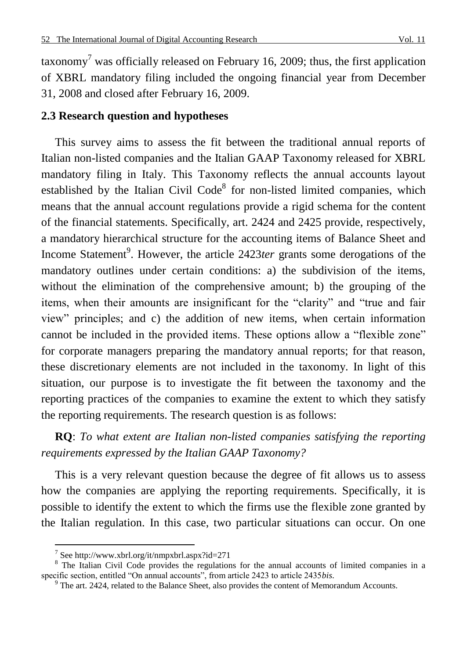taxonomy<sup>7</sup> was officially released on February 16, 2009; thus, the first application of XBRL mandatory filing included the ongoing financial year from December 31, 2008 and closed after February 16, 2009.

# **2.3 Research question and hypotheses**

This survey aims to assess the fit between the traditional annual reports of Italian non-listed companies and the Italian GAAP Taxonomy released for XBRL mandatory filing in Italy. This Taxonomy reflects the annual accounts layout established by the Italian Civil Code $8$  for non-listed limited companies, which means that the annual account regulations provide a rigid schema for the content of the financial statements. Specifically, art. 2424 and 2425 provide, respectively, a mandatory hierarchical structure for the accounting items of Balance Sheet and Income Statement<sup>9</sup>. However, the article 2423*ter* grants some derogations of the mandatory outlines under certain conditions: a) the subdivision of the items, without the elimination of the comprehensive amount; b) the grouping of the items, when their amounts are insignificant for the "clarity" and "true and fair view‖ principles; and c) the addition of new items, when certain information cannot be included in the provided items. These options allow a "flexible zone" for corporate managers preparing the mandatory annual reports; for that reason, these discretionary elements are not included in the taxonomy. In light of this situation, our purpose is to investigate the fit between the taxonomy and the reporting practices of the companies to examine the extent to which they satisfy the reporting requirements. The research question is as follows:

**RQ**: *To what extent are Italian non-listed companies satisfying the reporting requirements expressed by the Italian GAAP Taxonomy?*

This is a very relevant question because the degree of fit allows us to assess how the companies are applying the reporting requirements. Specifically, it is possible to identify the extent to which the firms use the flexible zone granted by the Italian regulation. In this case, two particular situations can occur. On one

 $\overline{a}$ 

<sup>7</sup> See http://www.xbrl.org/it/nmpxbrl.aspx?id=271

<sup>&</sup>lt;sup>8</sup> The Italian Civil Code provides the regulations for the annual accounts of limited companies in a specific section, entitled "On annual accounts", from article 2423 to article 2435*bis*.

 $9$  The art. 2424, related to the Balance Sheet, also provides the content of Memorandum Accounts.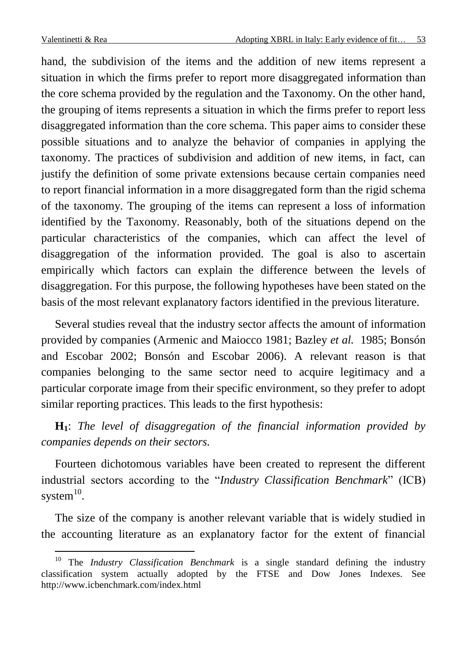$\overline{a}$ 

hand, the subdivision of the items and the addition of new items represent a situation in which the firms prefer to report more disaggregated information than the core schema provided by the regulation and the Taxonomy. On the other hand, the grouping of items represents a situation in which the firms prefer to report less disaggregated information than the core schema. This paper aims to consider these possible situations and to analyze the behavior of companies in applying the taxonomy. The practices of subdivision and addition of new items, in fact, can justify the definition of some private extensions because certain companies need to report financial information in a more disaggregated form than the rigid schema of the taxonomy. The grouping of the items can represent a loss of information identified by the Taxonomy. Reasonably, both of the situations depend on the particular characteristics of the companies, which can affect the level of disaggregation of the information provided. The goal is also to ascertain empirically which factors can explain the difference between the levels of disaggregation. For this purpose, the following hypotheses have been stated on the basis of the most relevant explanatory factors identified in the previous literature.

Several studies reveal that the industry sector affects the amount of information provided by companies (Armenic and Maiocco 1981; Bazley *et al.* 1985; Bonsón and Escobar 2002; Bonsón and Escobar 2006). A relevant reason is that companies belonging to the same sector need to acquire legitimacy and a particular corporate image from their specific environment, so they prefer to adopt similar reporting practices. This leads to the first hypothesis:

**H1**: *The level of disaggregation of the financial information provided by companies depends on their sectors.*

Fourteen dichotomous variables have been created to represent the different industrial sectors according to the *"Industry Classification Benchmark*" (ICB) system $^{10}$ .

The size of the company is another relevant variable that is widely studied in the accounting literature as an explanatory factor for the extent of financial

<sup>10</sup> The *Industry Classification Benchmark* is a single standard defining the industry classification system actually adopted by the FTSE and Dow Jones Indexes. See http://www.icbenchmark.com/index.html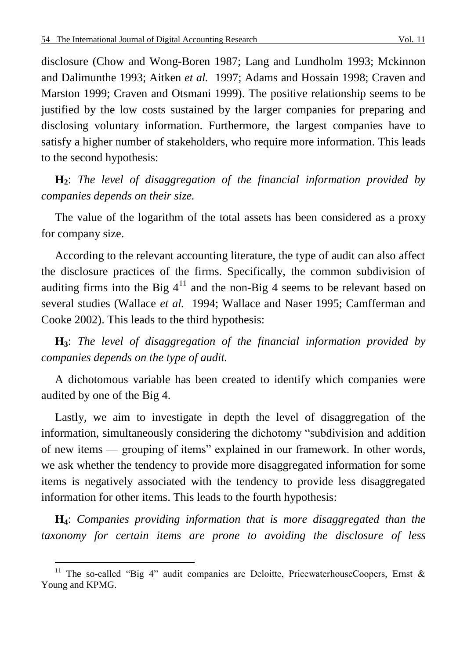disclosure (Chow and Wong-Boren 1987; Lang and Lundholm 1993; Mckinnon and Dalimunthe 1993; Aitken *et al.* 1997; Adams and Hossain 1998; Craven and Marston 1999; Craven and Otsmani 1999). The positive relationship seems to be justified by the low costs sustained by the larger companies for preparing and disclosing voluntary information. Furthermore, the largest companies have to satisfy a higher number of stakeholders, who require more information. This leads to the second hypothesis:

**H2**: *The level of disaggregation of the financial information provided by companies depends on their size.*

The value of the logarithm of the total assets has been considered as a proxy for company size.

According to the relevant accounting literature, the type of audit can also affect the disclosure practices of the firms. Specifically, the common subdivision of auditing firms into the Big  $4^{11}$  and the non-Big 4 seems to be relevant based on several studies (Wallace *et al.* 1994; Wallace and Naser 1995; Camfferman and Cooke 2002). This leads to the third hypothesis:

**H3**: *The level of disaggregation of the financial information provided by companies depends on the type of audit.*

A dichotomous variable has been created to identify which companies were audited by one of the Big 4.

Lastly, we aim to investigate in depth the level of disaggregation of the information, simultaneously considering the dichotomy "subdivision and addition of new items — grouping of items" explained in our framework. In other words, we ask whether the tendency to provide more disaggregated information for some items is negatively associated with the tendency to provide less disaggregated information for other items. This leads to the fourth hypothesis:

**H4**: *Companies providing information that is more disaggregated than the taxonomy for certain items are prone to avoiding the disclosure of less* 

 $\overline{a}$ 

<sup>&</sup>lt;sup>11</sup> The so-called "Big 4" audit companies are Deloitte, PricewaterhouseCoopers, Ernst & Young and KPMG.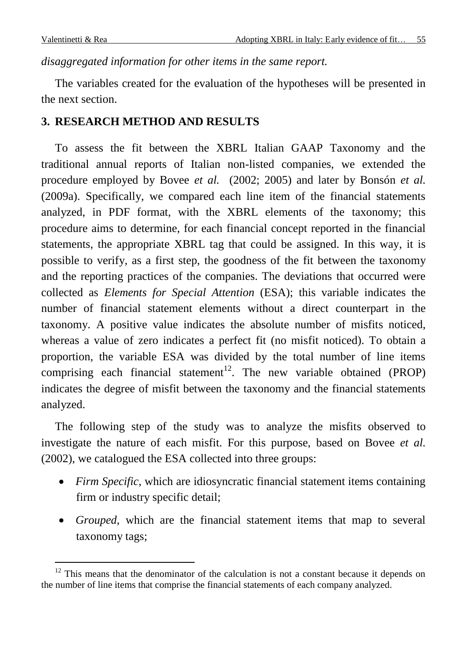$\overline{a}$ 

#### *disaggregated information for other items in the same report.*

The variables created for the evaluation of the hypotheses will be presented in the next section.

## **3. RESEARCH METHOD AND RESULTS**

To assess the fit between the XBRL Italian GAAP Taxonomy and the traditional annual reports of Italian non-listed companies, we extended the procedure employed by Bovee *et al.* (2002; 2005) and later by Bonsón *et al.*  (2009a). Specifically, we compared each line item of the financial statements analyzed, in PDF format, with the XBRL elements of the taxonomy; this procedure aims to determine, for each financial concept reported in the financial statements, the appropriate XBRL tag that could be assigned. In this way, it is possible to verify, as a first step, the goodness of the fit between the taxonomy and the reporting practices of the companies. The deviations that occurred were collected as *Elements for Special Attention* (ESA); this variable indicates the number of financial statement elements without a direct counterpart in the taxonomy. A positive value indicates the absolute number of misfits noticed, whereas a value of zero indicates a perfect fit (no misfit noticed). To obtain a proportion, the variable ESA was divided by the total number of line items comprising each financial statement<sup>12</sup>. The new variable obtained (PROP) indicates the degree of misfit between the taxonomy and the financial statements analyzed.

The following step of the study was to analyze the misfits observed to investigate the nature of each misfit. For this purpose, based on Bovee *et al.*  (2002), we catalogued the ESA collected into three groups:

- *Firm Specific*, which are idiosyncratic financial statement items containing firm or industry specific detail;
- *Grouped*, which are the financial statement items that map to several taxonomy tags;

 $12$  This means that the denominator of the calculation is not a constant because it depends on the number of line items that comprise the financial statements of each company analyzed.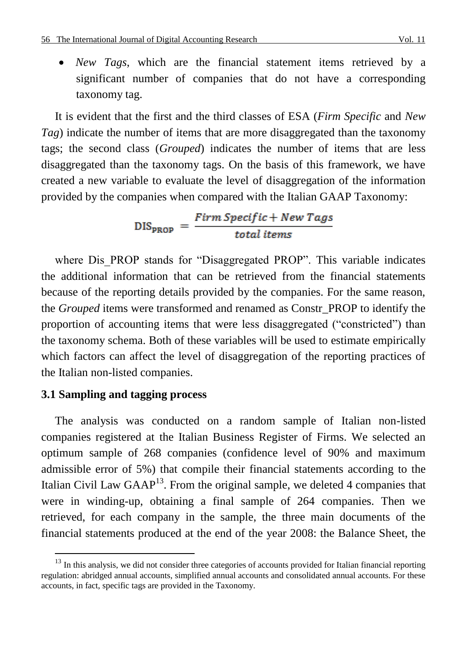*New Tags*, which are the financial statement items retrieved by a significant number of companies that do not have a corresponding taxonomy tag.

It is evident that the first and the third classes of ESA (*Firm Specific* and *New Tag*) indicate the number of items that are more disaggregated than the taxonomy tags; the second class (*Grouped*) indicates the number of items that are less disaggregated than the taxonomy tags. On the basis of this framework, we have created a new variable to evaluate the level of disaggregation of the information provided by the companies when compared with the Italian GAAP Taxonomy:

 $DIS_{PROP} = \frac{Firm\,Specific + New\,Tags}{total\,items}$ 

where Dis PROP stands for "Disaggregated PROP". This variable indicates the additional information that can be retrieved from the financial statements because of the reporting details provided by the companies. For the same reason, the *Grouped* items were transformed and renamed as Constr\_PROP to identify the proportion of accounting items that were less disaggregated ("constricted") than the taxonomy schema. Both of these variables will be used to estimate empirically which factors can affect the level of disaggregation of the reporting practices of the Italian non-listed companies.

#### **3.1 Sampling and tagging process**

 $\overline{a}$ 

The analysis was conducted on a random sample of Italian non-listed companies registered at the Italian Business Register of Firms. We selected an optimum sample of 268 companies (confidence level of 90% and maximum admissible error of 5%) that compile their financial statements according to the Italian Civil Law  $\text{GAP}^{13}$ . From the original sample, we deleted 4 companies that were in winding-up, obtaining a final sample of 264 companies. Then we retrieved, for each company in the sample, the three main documents of the financial statements produced at the end of the year 2008: the Balance Sheet, the

<sup>&</sup>lt;sup>13</sup> In this analysis, we did not consider three categories of accounts provided for Italian financial reporting regulation: abridged annual accounts, simplified annual accounts and consolidated annual accounts. For these accounts, in fact, specific tags are provided in the Taxonomy.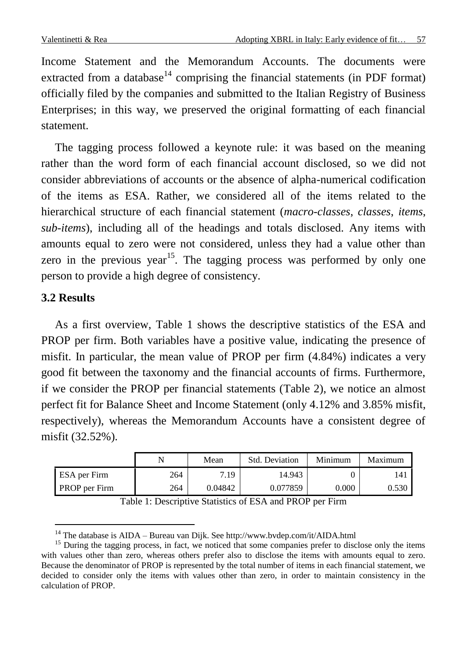Income Statement and the Memorandum Accounts. The documents were extracted from a database<sup>14</sup> comprising the financial statements (in PDF format) officially filed by the companies and submitted to the Italian Registry of Business Enterprises; in this way, we preserved the original formatting of each financial statement.

The tagging process followed a keynote rule: it was based on the meaning rather than the word form of each financial account disclosed, so we did not consider abbreviations of accounts or the absence of alpha-numerical codification of the items as ESA. Rather, we considered all of the items related to the hierarchical structure of each financial statement (*macro-classes*, *classes*, *items*, *sub-items*), including all of the headings and totals disclosed. Any items with amounts equal to zero were not considered, unless they had a value other than zero in the previous year<sup>15</sup>. The tagging process was performed by only one person to provide a high degree of consistency.

## **3.2 Results**

 $\overline{a}$ 

As a first overview, Table 1 shows the descriptive statistics of the ESA and PROP per firm. Both variables have a positive value, indicating the presence of misfit. In particular, the mean value of PROP per firm (4.84%) indicates a very good fit between the taxonomy and the financial accounts of firms. Furthermore, if we consider the PROP per financial statements (Table 2), we notice an almost perfect fit for Balance Sheet and Income Statement (only 4.12% and 3.85% misfit, respectively), whereas the Memorandum Accounts have a consistent degree of misfit (32.52%).

|               |     | Mean    | Std. Deviation | Minimum   | Maximum |
|---------------|-----|---------|----------------|-----------|---------|
| ESA per Firm  | 264 | 7.19    | 14.943         |           | 141     |
| PROP per Firm | 264 | 0.04842 | 0.077859       | $0.000\,$ | 0.530   |

| Table 1: Descriptive Statistics of ESA and PROP per Firm |  |  |
|----------------------------------------------------------|--|--|
|----------------------------------------------------------|--|--|

<sup>&</sup>lt;sup>14</sup> The database is AIDA – Bureau van Dijk. See http://www.bvdep.com/it/AIDA.html

<sup>&</sup>lt;sup>15</sup> During the tagging process, in fact, we noticed that some companies prefer to disclose only the items with values other than zero, whereas others prefer also to disclose the items with amounts equal to zero. Because the denominator of PROP is represented by the total number of items in each financial statement, we decided to consider only the items with values other than zero, in order to maintain consistency in the calculation of PROP.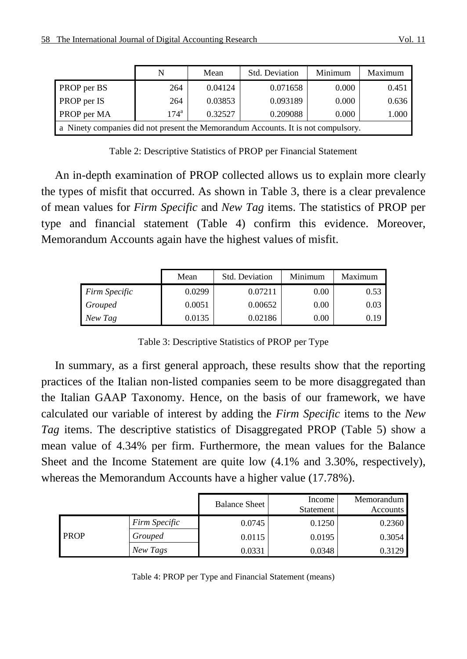|                                                                                   | N             | Mean    | Std. Deviation | Minimum | Maximum |  |
|-----------------------------------------------------------------------------------|---------------|---------|----------------|---------|---------|--|
| PROP per BS                                                                       | 264           | 0.04124 | 0.071658       | 0.000   | 0.451   |  |
| PROP per IS                                                                       | 264           | 0.03853 | 0.093189       | 0.000   | 0.636   |  |
| PROP per MA                                                                       | $174^{\rm a}$ | 0.32527 | 0.209088       | 0.000   | 1.000   |  |
| a Ninety companies did not present the Memorandum Accounts. It is not compulsory. |               |         |                |         |         |  |

Table 2: Descriptive Statistics of PROP per Financial Statement

An in-depth examination of PROP collected allows us to explain more clearly the types of misfit that occurred. As shown in Table 3, there is a clear prevalence of mean values for *Firm Specific* and *New Tag* items. The statistics of PROP per type and financial statement (Table 4) confirm this evidence. Moreover, Memorandum Accounts again have the highest values of misfit.

|                      | Mean   | Std. Deviation | Minimum | Maximum |
|----------------------|--------|----------------|---------|---------|
| <b>Firm Specific</b> | 0.0299 | 0.07211        | 0.00    | 0.53    |
| Grouped              | 0.0051 | 0.00652        | 0.00    | 0.03    |
| New Tag              | 0.0135 | 0.02186        | 0.00    | 0.19    |

Table 3: Descriptive Statistics of PROP per Type

In summary, as a first general approach, these results show that the reporting practices of the Italian non-listed companies seem to be more disaggregated than the Italian GAAP Taxonomy. Hence, on the basis of our framework, we have calculated our variable of interest by adding the *Firm Specific* items to the *New Tag* items. The descriptive statistics of Disaggregated PROP (Table 5) show a mean value of 4.34% per firm. Furthermore, the mean values for the Balance Sheet and the Income Statement are quite low (4.1% and 3.30%, respectively), whereas the Memorandum Accounts have a higher value (17.78%).

|             |                      | <b>Balance Sheet</b> | Income<br>Statement | Memorandum<br>Accounts |
|-------------|----------------------|----------------------|---------------------|------------------------|
| <b>PROP</b> | <b>Firm Specific</b> | 0.0745               | 0.1250              | 0.2360                 |
|             | Grouped              | 0.0115               | 0.0195              | 0.3054                 |
|             | New Tags             | 0.0331               | 0.0348              | 0.3129                 |

Table 4: PROP per Type and Financial Statement (means)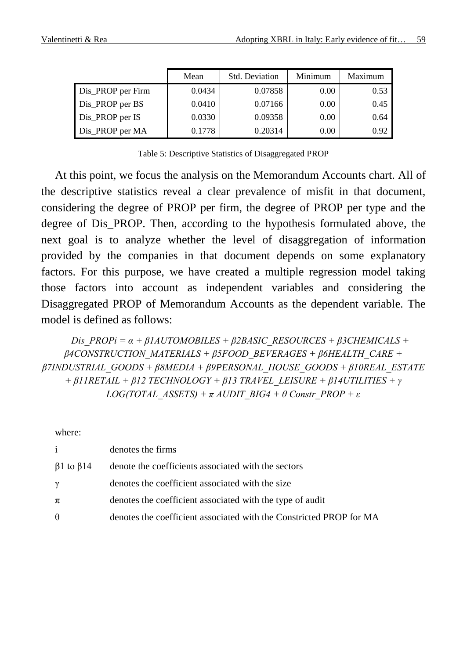|                   | Mean   | Std. Deviation | Minimum | Maximum |
|-------------------|--------|----------------|---------|---------|
| Dis_PROP per Firm | 0.0434 | 0.07858        | 0.00    | 0.53    |
| Dis_PROP per BS   | 0.0410 | 0.07166        | 0.00    | 0.45    |
| Dis_PROP per IS   | 0.0330 | 0.09358        | 0.00    | 0.64    |
| Dis_PROP per MA   | 0.1778 | 0.20314        | 0.00    | 0.92    |

Table 5: Descriptive Statistics of Disaggregated PROP

At this point, we focus the analysis on the Memorandum Accounts chart. All of the descriptive statistics reveal a clear prevalence of misfit in that document, considering the degree of PROP per firm, the degree of PROP per type and the degree of Dis\_PROP. Then, according to the hypothesis formulated above, the next goal is to analyze whether the level of disaggregation of information provided by the companies in that document depends on some explanatory factors. For this purpose, we have created a multiple regression model taking those factors into account as independent variables and considering the Disaggregated PROP of Memorandum Accounts as the dependent variable. The model is defined as follows:

*Dis\_PROPi =*  $\alpha$  *+ β1AUTOMOBILES + β2BASIC\_RESOURCES + β3CHEMICALS + β4CONSTRUCTION\_MATERIALS + β5FOOD\_BEVERAGES + β6HEALTH\_CARE + β7INDUSTRIAL\_GOODS + β8MEDIA + β9PERSONAL\_HOUSE\_GOODS + β10REAL\_ESTATE + β11RETAIL + β12 TECHNOLOGY + β13 TRAVEL\_LEISURE + β14UTILITIES + γ LOG(TOTAL\_ASSETS) + π AUDIT\_BIG4 + θ Constr\_PROP + ε*

where:

| $\mathbf{i}$            | denotes the firms                                                   |
|-------------------------|---------------------------------------------------------------------|
| $\beta$ 1 to $\beta$ 14 | denote the coefficients associated with the sectors                 |
| γ                       | denotes the coefficient associated with the size                    |
| π                       | denotes the coefficient associated with the type of audit           |
| $\theta$                | denotes the coefficient associated with the Constricted PROP for MA |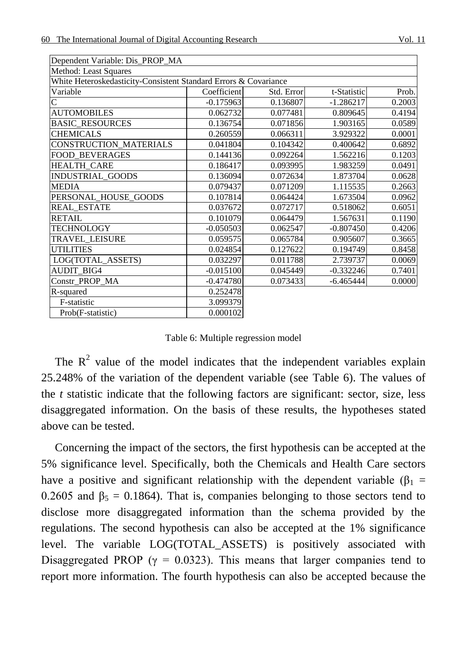| Dependent Variable: Dis PROP MA                                  |             |            |             |        |
|------------------------------------------------------------------|-------------|------------|-------------|--------|
| Method: Least Squares                                            |             |            |             |        |
| White Heteroskedasticity-Consistent Standard Errors & Covariance |             |            |             |        |
| Variable                                                         | Coefficient | Std. Error | t-Statistic | Prob.  |
| $\overline{C}$                                                   | $-0.175963$ | 0.136807   | $-1.286217$ | 0.2003 |
| <b>AUTOMOBILES</b>                                               | 0.062732    | 0.077481   | 0.809645    | 0.4194 |
| <b>BASIC RESOURCES</b>                                           | 0.136754    | 0.071856   | 1.903165    | 0.0589 |
| <b>CHEMICALS</b>                                                 | 0.260559    | 0.066311   | 3.929322    | 0.0001 |
| <b>CONSTRUCTION MATERIALS</b>                                    | 0.041804    | 0.104342   | 0.400642    | 0.6892 |
| <b>FOOD BEVERAGES</b>                                            | 0.144136    | 0.092264   | 1.562216    | 0.1203 |
| <b>HEALTH CARE</b>                                               | 0.186417    | 0.093995   | 1.983259    | 0.0491 |
| <b>INDUSTRIAL GOODS</b>                                          | 0.136094    | 0.072634   | 1.873704    | 0.0628 |
| <b>MEDIA</b>                                                     | 0.079437    | 0.071209   | 1.115535    | 0.2663 |
| PERSONAL HOUSE GOODS                                             | 0.107814    | 0.064424   | 1.673504    | 0.0962 |
| <b>REAL ESTATE</b>                                               | 0.037672    | 0.072717   | 0.518062    | 0.6051 |
| <b>RETAIL</b>                                                    | 0.101079    | 0.064479   | 1.567631    | 0.1190 |
| <b>TECHNOLOGY</b>                                                | $-0.050503$ | 0.062547   | $-0.807450$ | 0.4206 |
| <b>TRAVEL LEISURE</b>                                            | 0.059575    | 0.065784   | 0.905607    | 0.3665 |
| <b>UTILITIES</b>                                                 | 0.024854    | 0.127622   | 0.194749    | 0.8458 |
| LOG(TOTAL_ASSETS)                                                | 0.032297    | 0.011788   | 2.739737    | 0.0069 |
| <b>AUDIT BIG4</b>                                                | $-0.015100$ | 0.045449   | $-0.332246$ | 0.7401 |
| Constr PROP MA                                                   | $-0.474780$ | 0.073433   | $-6.465444$ | 0.0000 |
| R-squared                                                        | 0.252478    |            |             |        |
| F-statistic                                                      | 3.099379    |            |             |        |
| Prob(F-statistic)                                                | 0.000102    |            |             |        |

Table 6: Multiple regression model

The  $R<sup>2</sup>$  value of the model indicates that the independent variables explain 25.248% of the variation of the dependent variable (see Table 6). The values of the *t* statistic indicate that the following factors are significant: sector, size, less disaggregated information. On the basis of these results, the hypotheses stated above can be tested.

Concerning the impact of the sectors, the first hypothesis can be accepted at the 5% significance level. Specifically, both the Chemicals and Health Care sectors have a positive and significant relationship with the dependent variable ( $\beta_1$  = 0.2605 and  $\beta_5 = 0.1864$ ). That is, companies belonging to those sectors tend to disclose more disaggregated information than the schema provided by the regulations. The second hypothesis can also be accepted at the 1% significance level. The variable LOG(TOTAL\_ASSETS) is positively associated with Disaggregated PROP ( $\gamma = 0.0323$ ). This means that larger companies tend to report more information. The fourth hypothesis can also be accepted because the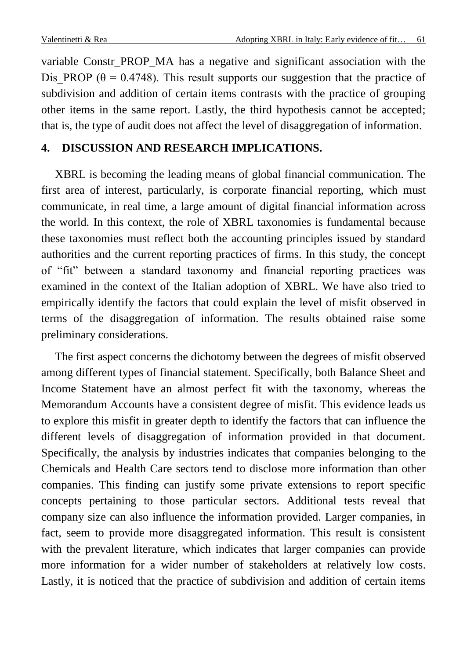variable Constr\_PROP\_MA has a negative and significant association with the Dis PROP ( $\theta$  = 0.4748). This result supports our suggestion that the practice of subdivision and addition of certain items contrasts with the practice of grouping other items in the same report. Lastly, the third hypothesis cannot be accepted; that is, the type of audit does not affect the level of disaggregation of information.

# **4. DISCUSSION AND RESEARCH IMPLICATIONS.**

XBRL is becoming the leading means of global financial communication. The first area of interest, particularly, is corporate financial reporting, which must communicate, in real time, a large amount of digital financial information across the world. In this context, the role of XBRL taxonomies is fundamental because these taxonomies must reflect both the accounting principles issued by standard authorities and the current reporting practices of firms. In this study, the concept of "fit" between a standard taxonomy and financial reporting practices was examined in the context of the Italian adoption of XBRL. We have also tried to empirically identify the factors that could explain the level of misfit observed in terms of the disaggregation of information. The results obtained raise some preliminary considerations.

The first aspect concerns the dichotomy between the degrees of misfit observed among different types of financial statement. Specifically, both Balance Sheet and Income Statement have an almost perfect fit with the taxonomy, whereas the Memorandum Accounts have a consistent degree of misfit. This evidence leads us to explore this misfit in greater depth to identify the factors that can influence the different levels of disaggregation of information provided in that document. Specifically, the analysis by industries indicates that companies belonging to the Chemicals and Health Care sectors tend to disclose more information than other companies. This finding can justify some private extensions to report specific concepts pertaining to those particular sectors. Additional tests reveal that company size can also influence the information provided. Larger companies, in fact, seem to provide more disaggregated information. This result is consistent with the prevalent literature, which indicates that larger companies can provide more information for a wider number of stakeholders at relatively low costs. Lastly, it is noticed that the practice of subdivision and addition of certain items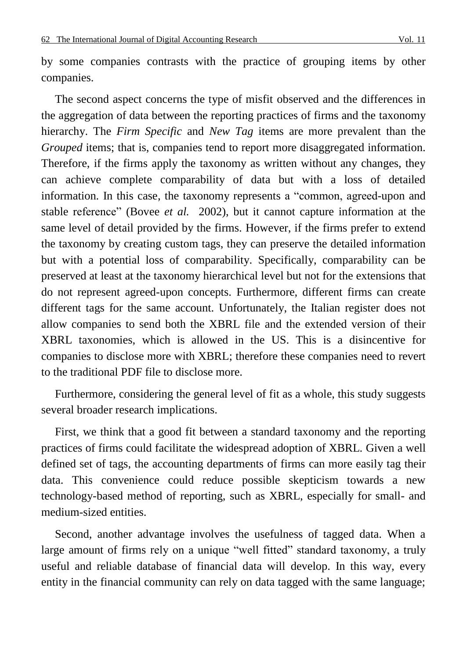by some companies contrasts with the practice of grouping items by other companies.

The second aspect concerns the type of misfit observed and the differences in the aggregation of data between the reporting practices of firms and the taxonomy hierarchy. The *Firm Specific* and *New Tag* items are more prevalent than the *Grouped* items; that is, companies tend to report more disaggregated information. Therefore, if the firms apply the taxonomy as written without any changes, they can achieve complete comparability of data but with a loss of detailed information. In this case, the taxonomy represents a "common, agreed-upon and stable reference" (Bovee *et al.* 2002), but it cannot capture information at the same level of detail provided by the firms. However, if the firms prefer to extend the taxonomy by creating custom tags, they can preserve the detailed information but with a potential loss of comparability. Specifically, comparability can be preserved at least at the taxonomy hierarchical level but not for the extensions that do not represent agreed-upon concepts. Furthermore, different firms can create different tags for the same account. Unfortunately, the Italian register does not allow companies to send both the XBRL file and the extended version of their XBRL taxonomies, which is allowed in the US. This is a disincentive for companies to disclose more with XBRL; therefore these companies need to revert to the traditional PDF file to disclose more.

Furthermore, considering the general level of fit as a whole, this study suggests several broader research implications.

First, we think that a good fit between a standard taxonomy and the reporting practices of firms could facilitate the widespread adoption of XBRL. Given a well defined set of tags, the accounting departments of firms can more easily tag their data. This convenience could reduce possible skepticism towards a new technology-based method of reporting, such as XBRL, especially for small- and medium-sized entities.

Second, another advantage involves the usefulness of tagged data. When a large amount of firms rely on a unique "well fitted" standard taxonomy, a truly useful and reliable database of financial data will develop. In this way, every entity in the financial community can rely on data tagged with the same language;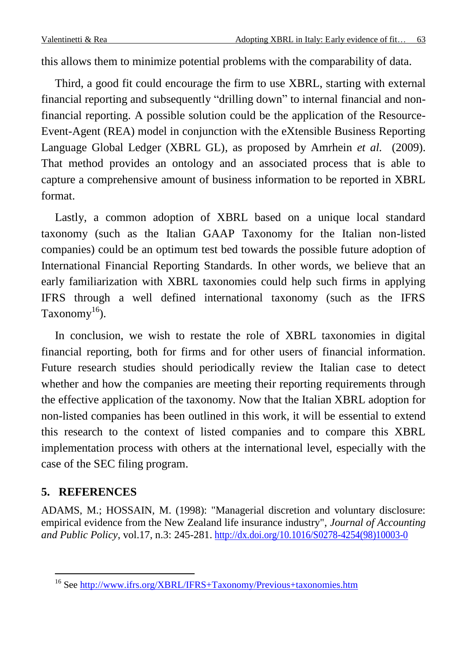this allows them to minimize potential problems with the comparability of data.

Third, a good fit could encourage the firm to use XBRL, starting with external financial reporting and subsequently "drilling down" to internal financial and nonfinancial reporting. A possible solution could be the application of the Resource-Event-Agent (REA) model in conjunction with the eXtensible Business Reporting Language Global Ledger (XBRL GL), as proposed by Amrhein *et al.* (2009). That method provides an ontology and an associated process that is able to capture a comprehensive amount of business information to be reported in XBRL format.

Lastly, a common adoption of XBRL based on a unique local standard taxonomy (such as the Italian GAAP Taxonomy for the Italian non-listed companies) could be an optimum test bed towards the possible future adoption of International Financial Reporting Standards. In other words, we believe that an early familiarization with XBRL taxonomies could help such firms in applying IFRS through a well defined international taxonomy (such as the IFRS Taxonomy<sup>16</sup>).

In conclusion, we wish to restate the role of XBRL taxonomies in digital financial reporting, both for firms and for other users of financial information. Future research studies should periodically review the Italian case to detect whether and how the companies are meeting their reporting requirements through the effective application of the taxonomy. Now that the Italian XBRL adoption for non-listed companies has been outlined in this work, it will be essential to extend this research to the context of listed companies and to compare this XBRL implementation process with others at the international level, especially with the case of the SEC filing program.

# **5. REFERENCES**

 $\overline{a}$ 

ADAMS, M.; HOSSAIN, M. (1998): "Managerial discretion and voluntary disclosure: empirical evidence from the New Zealand life insurance industry", *Journal of Accounting and Public Policy*, vol.17, n.3: 245-281. [http://dx.doi.org/10.1016/S0278-4254\(98\)10003-0](http://dx.doi.org/10.1016/S0278-4254(98)10003-0)

<sup>&</sup>lt;sup>16</sup> See <http://www.ifrs.org/XBRL/IFRS+Taxonomy/Previous+taxonomies.htm>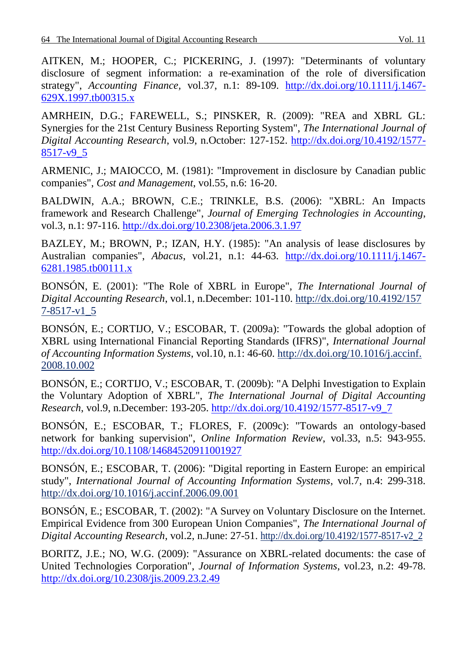AITKEN, M.; HOOPER, C.; PICKERING, J. (1997): "Determinants of voluntary disclosure of segment information: a re-examination of the role of diversification strategy", *Accounting Finance,* vol.37, n.1: 89-109. [http://dx.doi.org/10.1111/j.1467-](http://dx.doi.org/10.1111/j.1467-629X.1997.tb00315.x) [629X.1997.tb00315.x](http://dx.doi.org/10.1111/j.1467-629X.1997.tb00315.x)

AMRHEIN, D.G.; FAREWELL, S.; PINSKER, R. (2009): "REA and XBRL GL: Synergies for the 21st Century Business Reporting System", *The International Journal of Digital Accounting Research*, vol.9, n.October: 127-152. [http://dx.doi.org/10.4192/1577-](http://dx.doi.org/10.4192/1577-8517-v9_5) [8517-v9\\_5](http://dx.doi.org/10.4192/1577-8517-v9_5)

ARMENIC, J.; MAIOCCO, M. (1981): "Improvement in disclosure by Canadian public companies", *Cost and Management*, vol.55, n.6: 16-20.

BALDWIN, A.A.; BROWN, C.E.; TRINKLE, B.S. (2006): "XBRL: An Impacts framework and Research Challenge", *Journal of Emerging Technologies in Accounting*, vol.3, n.1: 97-116.<http://dx.doi.org/10.2308/jeta.2006.3.1.97>

BAZLEY, M.; BROWN, P.; IZAN, H.Y. (1985): "An analysis of lease disclosures by Australian companies", *Abacus*, vol.21, n.1: 44-63. [http://dx.doi.org/10.1111/j.1467-](http://dx.doi.org/10.1111/j.1467-6281.1985.tb00111.x) [6281.1985.tb00111.x](http://dx.doi.org/10.1111/j.1467-6281.1985.tb00111.x)

BONSÓN, E. (2001): "The Role of XBRL in Europe", *The International Journal of Digital Accounting Research*, vol.1, n.December: 101-110. http://dx.doi.org/10.4192/157 7-8517-v1\_5

BONSÓN, E.; CORTIJO, V.; ESCOBAR, T. (2009a): "Towards the global adoption of XBRL using International Financial Reporting Standards (IFRS)", *International Journal of Accounting Information Systems*, vol.10, n.1: 46-60. http://dx.doi.org/10.1016/j.accinf. 2008.10.002

BONSÓN, E.; CORTIJO, V.; ESCOBAR, T. (2009b): "A Delphi Investigation to Explain the Voluntary Adoption of XBRL", *The International Journal of Digital Accounting Research*, vol.9, n.December: 193-205. [http://dx.doi.org/10.4192/1577-8517-v9\\_7](http://dx.doi.org/10.4192/1577-8517-v9_7)

BONSÓN, E.; ESCOBAR, T.; FLORES, F. (2009c): "Towards an ontology-based network for banking supervision", *Online Information Review*, vol.33, n.5: 943-955. <http://dx.doi.org/10.1108/14684520911001927>

BONSÓN, E.; ESCOBAR, T. (2006): "Digital reporting in Eastern Europe: an empirical study", *International Journal of Accounting Information Systems*, vol.7, n.4: 299-318. http://dx.doi.org/10.1016/j.accinf.2006.09.001

BONSÓN, E.; ESCOBAR, T. (2002): "A Survey on Voluntary Disclosure on the Internet. Empirical Evidence from 300 European Union Companies", *The International Journal of Digital Accounting Research*, vol.2, n.June: 27-51. http://dx.doi.org/10.4192/1577-8517-v2\_2

BORITZ, J.E.; NO, W.G. (2009): "Assurance on XBRL-related documents: the case of United Technologies Corporation", *Journal of Information Systems*, vol.23, n.2: 49-78. <http://dx.doi.org/10.2308/jis.2009.23.2.49>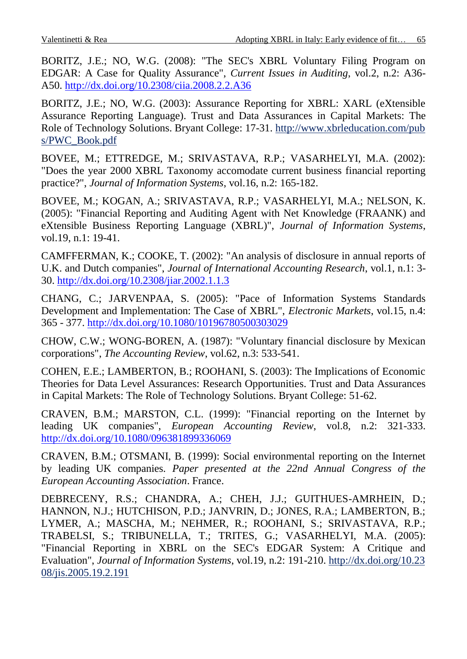BORITZ, J.E.; NO, W.G. (2008): "The SEC's XBRL Voluntary Filing Program on EDGAR: A Case for Quality Assurance", *Current Issues in Auditing*, vol.2, n.2: A36- A50.<http://dx.doi.org/10.2308/ciia.2008.2.2.A36>

BORITZ, J.E.; NO, W.G. (2003): Assurance Reporting for XBRL: XARL (eXtensible Assurance Reporting Language). Trust and Data Assurances in Capital Markets: The Role of Technology Solutions. Bryant College: 17-31. http://www.xbrleducation.com/pub s/PWC\_Book.pdf

BOVEE, M.; ETTREDGE, M.; SRIVASTAVA, R.P.; VASARHELYI, M.A. (2002): "Does the year 2000 XBRL Taxonomy accomodate current business financial reporting practice?", *Journal of Information Systems*, vol.16, n.2: 165-182.

BOVEE, M.; KOGAN, A.; SRIVASTAVA, R.P.; VASARHELYI, M.A.; NELSON, K. (2005): "Financial Reporting and Auditing Agent with Net Knowledge (FRAANK) and eXtensible Business Reporting Language (XBRL)", *Journal of Information Systems*, vol.19, n.1: 19-41.

CAMFFERMAN, K.; COOKE, T. (2002): "An analysis of disclosure in annual reports of U.K. and Dutch companies", *Journal of International Accounting Research*, vol.1, n.1: 3- 30.<http://dx.doi.org/10.2308/jiar.2002.1.1.3>

CHANG, C.; JARVENPAA, S. (2005): "Pace of Information Systems Standards Development and Implementation: The Case of XBRL", *Electronic Markets*, vol.15, n.4: 365 - 377.<http://dx.doi.org/10.1080/10196780500303029>

CHOW, C.W.; WONG-BOREN, A. (1987): "Voluntary financial disclosure by Mexican corporations", *The Accounting Review*, vol.62, n.3: 533-541.

COHEN, E.E.; LAMBERTON, B.; ROOHANI, S. (2003): The Implications of Economic Theories for Data Level Assurances: Research Opportunities. Trust and Data Assurances in Capital Markets: The Role of Technology Solutions. Bryant College: 51-62.

CRAVEN, B.M.; MARSTON, C.L. (1999): "Financial reporting on the Internet by leading UK companies", *European Accounting Review*, vol.8, n.2: 321-333. <http://dx.doi.org/10.1080/096381899336069>

CRAVEN, B.M.; OTSMANI, B. (1999): Social environmental reporting on the Internet by leading UK companies. *Paper presented at the 22nd Annual Congress of the European Accounting Association*. France.

DEBRECENY, R.S.; CHANDRA, A.; CHEH, J.J.; GUITHUES-AMRHEIN, D.; HANNON, N.J.; HUTCHISON, P.D.; JANVRIN, D.; JONES, R.A.; LAMBERTON, B.; LYMER, A.; MASCHA, M.; NEHMER, R.; ROOHANI, S.; SRIVASTAVA, R.P.; TRABELSI, S.; TRIBUNELLA, T.; TRITES, G.; VASARHELYI, M.A. (2005): "Financial Reporting in XBRL on the SEC's EDGAR System: A Critique and Evaluation", *Journal of Information Systems*, vol.19, n.2: 191-210. http://dx.doi.org/10.23 08/jis.2005.19.2.191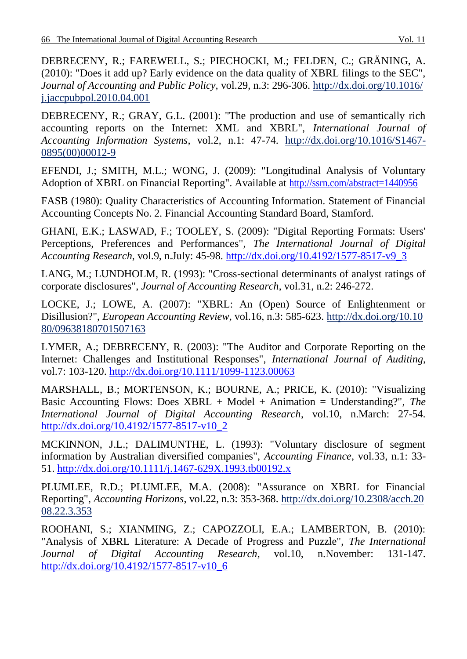DEBRECENY, R.; FAREWELL, S.; PIECHOCKI, M.; FELDEN, C.; GRÄNING, A. (2010): "Does it add up? Early evidence on the data quality of XBRL filings to the SEC", *Journal of Accounting and Public Policy,* vol.29, n.3: 296-306. http://dx.doi.org/10.1016/ j.jaccpubpol.2010.04.001

DEBRECENY, R.; GRAY, G.L. (2001): "The production and use of semantically rich accounting reports on the Internet: XML and XBRL", *International Journal of Accounting Information Systems*, vol.2, n.1: 47-74. http://dx.doi.org/10.1016/S1467- 0895(00)00012-9

EFENDI, J.; SMITH, M.L.; WONG, J. (2009): "Longitudinal Analysis of Voluntary Adoption of XBRL on Financial Reporting". Available at<http://ssrn.com/abstract=1440956>

FASB (1980): Quality Characteristics of Accounting Information. Statement of Financial Accounting Concepts No. 2. Financial Accounting Standard Board, Stamford.

GHANI, E.K.; LASWAD, F.; TOOLEY, S. (2009): "Digital Reporting Formats: Users' Perceptions, Preferences and Performances", *The International Journal of Digital Accounting Research*, vol.9, n.July: 45-98. [http://dx.doi.org/10.4192/1577-8517-v9\\_3](http://dx.doi.org/10.4192/1577-8517-v9_3)

LANG, M.; LUNDHOLM, R. (1993): "Cross-sectional determinants of analyst ratings of corporate disclosures", *Journal of Accounting Research*, vol.31, n.2: 246-272.

LOCKE, J.; LOWE, A. (2007): "XBRL: An (Open) Source of Enlightenment or Disillusion?", *European Accounting Review*, vol.16, n.3: 585-623. http://dx.doi.org/10.10 80/09638180701507163

LYMER, A.; DEBRECENY, R. (2003): "The Auditor and Corporate Reporting on the Internet: Challenges and Institutional Responses", *International Journal of Auditing*, vol.7: 103-120.<http://dx.doi.org/10.1111/1099-1123.00063>

MARSHALL, B.; MORTENSON, K.; BOURNE, A.; PRICE, K. (2010): "Visualizing Basic Accounting Flows: Does XBRL + Model + Animation = Understanding?", *The International Journal of Digital Accounting Research*, vol.10, n.March: 27-54. [http://dx.doi.org/10.4192/1577-8517-v10\\_2](http://dx.doi.org/10.4192/1577-8517-v10_2)

MCKINNON, J.L.; DALIMUNTHE, L. (1993): "Voluntary disclosure of segment information by Australian diversified companies", *Accounting Finance*, vol.33, n.1: 33- 51.<http://dx.doi.org/10.1111/j.1467-629X.1993.tb00192.x>

PLUMLEE, R.D.; PLUMLEE, M.A. (2008): "Assurance on XBRL for Financial Reporting", *Accounting Horizons*, vol.22, n.3: 353-368. http://dx.doi.org/10.2308/acch.20 08.22.3.353

ROOHANI, S.; XIANMING, Z.; CAPOZZOLI, E.A.; LAMBERTON, B. (2010): "Analysis of XBRL Literature: A Decade of Progress and Puzzle", *The International Journal of Digital Accounting Research*, vol.10, n.November: 131-147. [http://dx.doi.org/10.4192/1577-8517-v10\\_6](http://dx.doi.org/10.4192/1577-8517-v10_6)